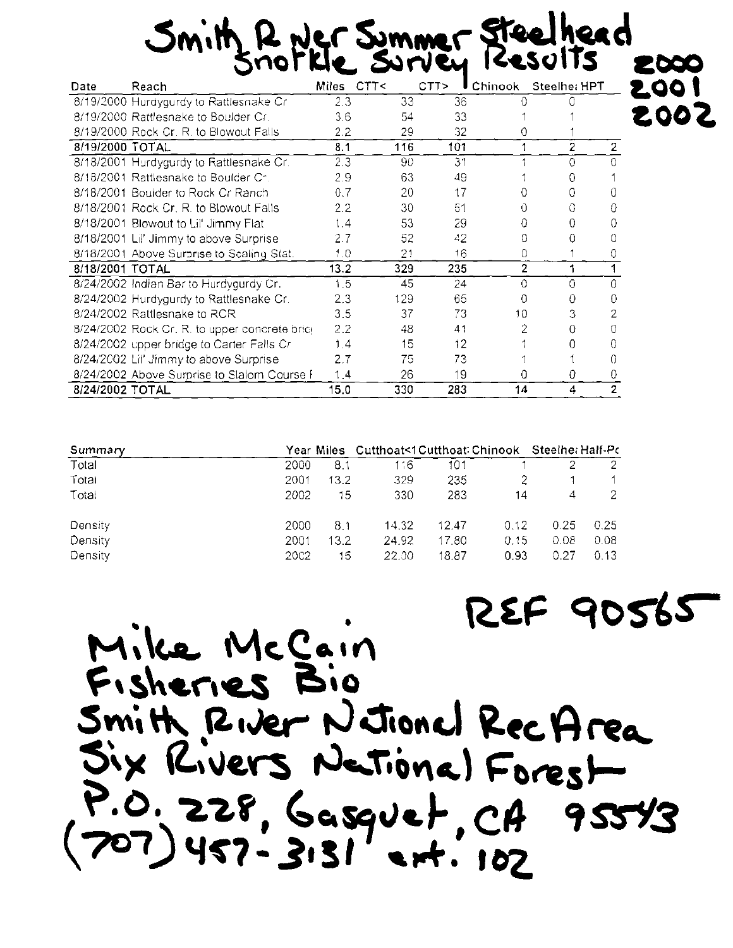200 |<br>200 Z

2000

| Date            | Reach                                         | Miles | CTT< | CTT><br>υ | <b>Chinook</b> | Steelhe: HPT   |                |
|-----------------|-----------------------------------------------|-------|------|-----------|----------------|----------------|----------------|
|                 | 8/19/2000 Hurdygurdy to Rattlesnake Cr        | 2.3   | 33   | 36        |                |                |                |
|                 | 8/19/2000 Rattlesnake to Boulder Cr.          | 3.6   | 54   | 33        |                |                |                |
|                 | 8/19/2000 Rock Cr. R. to Blowout Falls        | 2.2   | 29   | 32        | Ω              |                |                |
| 8/19/2000 TOTAL |                                               | 8.1   | 116  | 101       |                | $\overline{2}$ | 2              |
|                 | 8/18/2001 Hurdygurdy to Rattlesnake Cr.       | 2.3   | 90   | 31        |                | O              |                |
|                 | 8/18/2001 Rattlesnake to Boulder Cr.          | 2.9   | 63   | 49        |                |                |                |
|                 | 8/18/2001 Boulder to Rock Cr Ranch            | 0.7   | 20   | 17        | 0              |                | 0              |
|                 | 8/18/2001 Rock Cr. R. to Blowout Falls        | 2.2   | 30   | 51        | 0              |                | Ω              |
|                 | 8/18/2001 Blowout to Lil' Jimmy Flat          | 1.4   | 53   | 29        | Ω              | Ω              |                |
|                 | 8/18/2001 Lil' Jimmy to above Surprise        | 2.7   | 52   | 42        | 0              | 0              |                |
|                 | 8/18/2001 Above Surprise to Scaling Stat.     | 1.0   | 21   | 16        | 0              |                |                |
| 8/18/2001 TOTAL |                                               | 13.2  | 329  | 235       | $\overline{2}$ | 1              |                |
|                 | 8/24/2002 Indian Bar to Hurdygurdy Cr.        | 1.5   | 45   | 24        | 0              | 0              | 0              |
|                 | 8/24/2002 Hurdygurdy to Rattlesnake Cr.       | 2.3   | 129  | 65        | 0              | Ω              | 0              |
|                 | 8/24/2002 Rattlesnake to RCR                  | 3.5   | 37   | 73        | 10.            | З              | 2              |
|                 | 8/24/2002 Rock Cr. R. to upper concrete bric( | 2.2   | 48   | 41        |                | 0              |                |
|                 | 8/24/2002 upper bridge to Carter Falls Cr     | 1.4   | 15   | 12        |                |                | ∩              |
|                 | 8/24/2002 Lil' Jimmy to above Surprise        | 2.7   | 75   | 73        |                |                | 0              |
|                 | 8/24/2002 Above Surprise to Slalom Course F   | 1,4   | 26   | 19        | 0              | 0              | 0              |
| 8/24/2002 TOTAL |                                               | 15.0  | 330  | 283       | 14             | 4              | $\overline{2}$ |

| Summary |             |      | Year Miles Cutthoat<1Cutthoat: Chinook Steelhe: Half-Pc |       |      |      |      |
|---------|-------------|------|---------------------------------------------------------|-------|------|------|------|
| Total   | 2000        | 8.1  | 116                                                     | 101   |      |      |      |
| Total   | 2001        | 13.2 | 329                                                     | 235   |      |      |      |
| Total   | 2002        | 15   | 330                                                     | 283   | 14   | 4    |      |
| Density | 2000        | 8.1  | 14.32                                                   | 12.47 | 0.12 | 0.25 | 0.25 |
| Density | 2001        | 13.2 | 24.92                                                   | 17.80 | 0.15 | 0.08 | 0.08 |
| Density | <b>2002</b> | 15   | 22.00                                                   | 18.87 | 0.93 | 0.27 | 0.13 |

REF 90565 Mike McCain Fisheries Bio Smith River Netional Rec Area Six Rivers National Forest  $P.0.228, Gaspvet, CA95543  
(707)457-3131$  est. 102